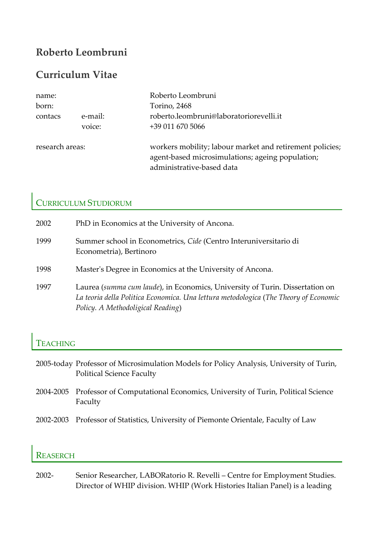# **Roberto Leombruni**

## **Curriculum Vitae**

| name:           |         | Roberto Leombruni                                                                                                                         |
|-----------------|---------|-------------------------------------------------------------------------------------------------------------------------------------------|
| born:           |         | Torino, 2468                                                                                                                              |
| contacs         | e-mail: | roberto.leombruni@laboratoriorevelli.it                                                                                                   |
|                 | voice:  | +39 011 670 5066                                                                                                                          |
| research areas: |         | workers mobility; labour market and retirement policies;<br>agent-based microsimulations; ageing population;<br>administrative-based data |

### CURRICULUM STUDIORUM

| 2002 | PhD in Economics at the University of Ancona.                                                                                                                                                             |
|------|-----------------------------------------------------------------------------------------------------------------------------------------------------------------------------------------------------------|
| 1999 | Summer school in Econometrics, Cide (Centro Interuniversitario di<br>Econometria), Bertinoro                                                                                                              |
| 1998 | Master's Degree in Economics at the University of Ancona.                                                                                                                                                 |
| 1997 | Laurea (summa cum laude), in Economics, University of Turin. Dissertation on<br>La teoria della Politica Economica. Una lettura metodologica (The Theory of Economic<br>Policy. A Methodoligical Reading) |

### TEACHING

- 2005‐today Professor of Microsimulation Models for Policy Analysis, University of Turin, Political Science Faculty
- 2004‐2005 Professor of Computational Economics, University of Turin, Political Science Faculty
- 2002‐2003 Professor of Statistics, University of Piemonte Orientale, Faculty of Law

### **REASERCH**

2002‐ Senior Researcher, LABORatorio R. Revelli – Centre for Employment Studies. Director of WHIP division. WHIP (Work Histories Italian Panel) is a leading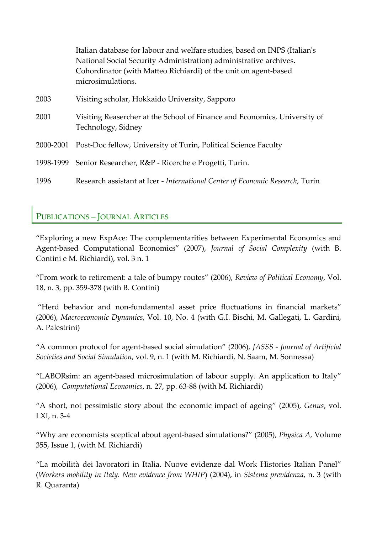|           | Italian database for labour and welfare studies, based on INPS (Italian's<br>National Social Security Administration) administrative archives.<br>Cohordinator (with Matteo Richiardi) of the unit on agent-based<br>microsimulations. |
|-----------|----------------------------------------------------------------------------------------------------------------------------------------------------------------------------------------------------------------------------------------|
| 2003      | Visiting scholar, Hokkaido University, Sapporo                                                                                                                                                                                         |
| 2001      | Visiting Reasercher at the School of Finance and Economics, University of<br>Technology, Sidney                                                                                                                                        |
| 2000-2001 | Post-Doc fellow, University of Turin, Political Science Faculty                                                                                                                                                                        |
| 1998-1999 | Senior Researcher, R&P - Ricerche e Progetti, Turin.                                                                                                                                                                                   |
| 1996      | Research assistant at Icer - International Center of Economic Research, Turin                                                                                                                                                          |

### PUBLICATIONS – JOURNAL ARTICLES

"Exploring a new ExpAce: The complementarities between Experimental Economics and Agent‐based Computational Economics" (2007), *Journal of Social Complexity* (with B. Contini e M. Richiardi), vol. 3 n. 1

"From work to retirement: a tale of bumpy routes" (2006), *Review of Political Economy*, Vol. 18, n. 3, pp. 359‐378 (with B. Contini)

"Herd behavior and non-fundamental asset price fluctuations in financial markets" (2006)*, Macroeconomic Dynamics*, Vol. 10, No. 4 (with G.I. Bischi, M. Gallegati, L. Gardini, A. Palestrini)

"A common protocol for agent‐based social simulation" (2006), *JASSS ‐ Journal of Artificial Societies and Social Simulation*, vol. 9, n. 1 (with M. Richiardi, N. Saam, M. Sonnessa)

"LABORsim: an agent‐based microsimulation of labour supply. An application to Italy" (2006)*, Computational Economics*, n. 27, pp. 63‐88 (with M. Richiardi)

"A short, not pessimistic story about the economic impact of ageing" (2005), *Genus*, vol. LXI, n. 3‐4

"Why are economists sceptical about agent‐based simulations?" (2005), *Physica A*, Volume 355, Issue 1, (with M. Richiardi)

"La mobilità dei lavoratori in Italia. Nuove evidenze dal Work Histories Italian Panel" (*Workers mobility in Italy. New evidence from WHIP*) (2004), in *Sistema previdenza*, n. 3 (with R. Quaranta)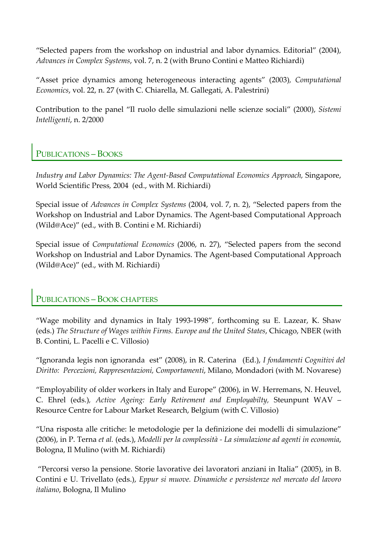"Selected papers from the workshop on industrial and labor dynamics. Editorial" (2004), *Advances in Complex Systems*, vol. 7, n. 2 (with Bruno Contini e Matteo Richiardi)

"Asset price dynamics among heterogeneous interacting agents" (2003)*, Computational Economics*, vol. 22, n. 27 (with C. Chiarella, M. Gallegati, A. Palestrini)

Contribution to the panel "Il ruolo delle simulazioni nelle scienze sociali" (2000), *Sistemi Intelligenti*, n. 2/2000

### PUBLICATIONS – BOOKS

*Industry and Labor Dynamics: The Agent‐Based Computational Economics Approach,* Singapore, World Scientific Press*,* 2004 (ed., with M. Richiardi)

Special issue of *Advances in Complex Systems* (2004, vol. 7, n. 2), "Selected papers from the Workshop on Industrial and Labor Dynamics. The Agent-based Computational Approach (Wild@Ace)" (ed., with B. Contini e M. Richiardi)

Special issue of *Computational Economics* (2006, n. 27), "Selected papers from the second Workshop on Industrial and Labor Dynamics. The Agent‐based Computational Approach (Wild@Ace)" (ed., with M. Richiardi)

#### PUBLICATIONS – BOOK CHAPTERS

"Wage mobility and dynamics in Italy 1993‐1998"*,* forthcoming su E. Lazear, K. Shaw (eds.) *The Structure of Wages within Firms. Europe and the United States*, Chicago, NBER (with B. Contini, L. Pacelli e C. Villosio)

"Ignoranda legis non ignoranda est" (2008), in R. Caterina (Ed.), *I fondamenti Cognitivi del Diritto: Percezioni, Rappresentazioni, Comportamenti*, Milano, Mondadori (with M. Novarese)

"Employability of older workers in Italy and Europe" (2006), in W. Herremans, N. Heuvel, C. Ehrel (eds.)*, Active Ageing: Early Retirement and Employabilty,* Steunpunt WAV – Resource Centre for Labour Market Research, Belgium (with C. Villosio)

"Una risposta alle critiche: le metodologie per la definizione dei modelli di simulazione" (2006), in P. Terna *et al.* (eds.), *Modelli per la complessità ‐ La simulazione ad agenti in economia*, Bologna, Il Mulino (with M. Richiardi)

"Percorsi verso la pensione. Storie lavorative dei lavoratori anziani in Italia" (2005), in B. Contini e U. Trivellato (eds.), *Eppur si muove. Dinamiche e persistenze nel mercato del lavoro italiano*, Bologna, Il Mulino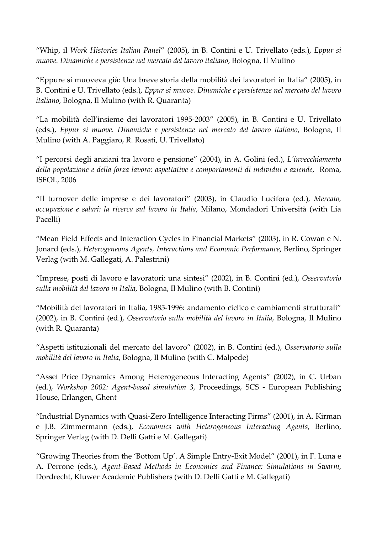"Whip, il *Work Histories Italian Panel*" (2005), in B. Contini e U. Trivellato (eds.), *Eppur si muove. Dinamiche e persistenze nel mercato del lavoro italiano*, Bologna, Il Mulino

"Eppure si muoveva già: Una breve storia della mobilità dei lavoratori in Italia" (2005), in B. Contini e U. Trivellato (eds.), *Eppur si muove. Dinamiche e persistenze nel mercato del lavoro italiano*, Bologna, Il Mulino (with R. Quaranta)

"La mobilità dell'insieme dei lavoratori 1995‐2003" (2005), in B. Contini e U. Trivellato (eds.), *Eppur si muove. Dinamiche e persistenze nel mercato del lavoro italiano*, Bologna, Il Mulino (with A. Paggiaro, R. Rosati, U. Trivellato)

"I percorsi degli anziani tra lavoro e pensione" (2004), in A. Golini (ed.), *L'invecchiamento della popolazione e della forza lavoro: aspettative e comportamenti di individui e aziende*, Roma, ISFOL, 2006

"Il turnover delle imprese e dei lavoratori" (2003), in Claudio Lucifora (ed.), *Mercato, occupazione e salari: la ricerca sul lavoro in Italia*, Milano, Mondadori Università (with Lia Pacelli)

"Mean Field Effects and Interaction Cycles in Financial Markets" (2003), in R. Cowan e N. Jonard (eds.), *Heterogeneous Agents, Interactions and Economic Performance*, Berlino, Springer Verlag (with M. Gallegati, A. Palestrini)

"Imprese, posti di lavoro e lavoratori: una sintesi" (2002), in B. Contini (ed.), *Osservatorio sulla mobilità del lavoro in Italia*, Bologna, Il Mulino (with B. Contini)

"Mobilità dei lavoratori in Italia, 1985‐1996: andamento ciclico e cambiamenti strutturali" (2002), in B. Contini (ed.), *Osservatorio sulla mobilità del lavoro in Italia*, Bologna, Il Mulino (with R. Quaranta)

"Aspetti istituzionali del mercato del lavoro" (2002), in B. Contini (ed.), *Osservatorio sulla mobilità del lavoro in Italia*, Bologna, Il Mulino (with C. Malpede)

"Asset Price Dynamics Among Heterogeneous Interacting Agents" (2002), in C. Urban (ed.), *Workshop 2002: Agent‐based simulation 3,* Proceedings, SCS ‐ European Publishing House, Erlangen, Ghent

"Industrial Dynamics with Quasi‐Zero Intelligence Interacting Firms" (2001), in A. Kirman e J.B. Zimmermann (eds.), *Economics with Heterogeneous Interacting Agents*, Berlino, Springer Verlag (with D. Delli Gatti e M. Gallegati)

"Growing Theories from the 'Bottom Up'. A Simple Entry‐Exit Model" (2001), in F. Luna e A. Perrone (eds.), *Agent‐Based Methods in Economics and Finance: Simulations in Swarm*, Dordrecht, Kluwer Academic Publishers (with D. Delli Gatti e M. Gallegati)